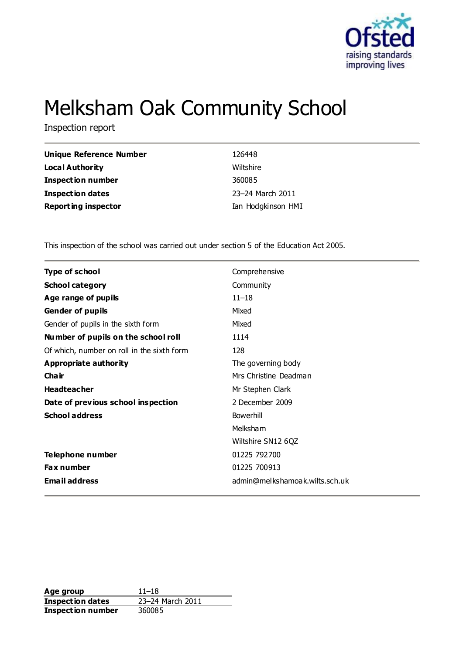

# Melksham Oak Community School

Inspection report

| <b>Unique Reference Number</b> | 126448             |
|--------------------------------|--------------------|
| <b>Local Authority</b>         | Wiltshire          |
| Inspection number              | 360085             |
| <b>Inspection dates</b>        | 23-24 March 2011   |
| <b>Reporting inspector</b>     | Ian Hodgkinson HMI |

This inspection of the school was carried out under section 5 of the Education Act 2005.

| <b>Type of school</b>                      | Comprehensive                  |
|--------------------------------------------|--------------------------------|
| <b>School category</b>                     | Community                      |
| Age range of pupils                        | $11 - 18$                      |
| <b>Gender of pupils</b>                    | Mixed                          |
| Gender of pupils in the sixth form         | Mixed                          |
| Number of pupils on the school roll        | 1114                           |
| Of which, number on roll in the sixth form | 128                            |
| <b>Appropriate authority</b>               | The governing body             |
| Cha ir                                     | Mrs Christine Deadman          |
| <b>Headteacher</b>                         | Mr Stephen Clark               |
| Date of previous school inspection         | 2 December 2009                |
| <b>School address</b>                      | Bowerhill                      |
|                                            | Melksham                       |
|                                            | Wiltshire SN12 6QZ             |
| Telephone number                           | 01225 792700                   |
| Fax number                                 | 01225 700913                   |
| <b>Email address</b>                       | admin@melkshamoak.wilts.sch.uk |

**Age group** 11–18<br> **Inspection dates** 23–24 March 2011 **Inspection dates Inspection number** 360085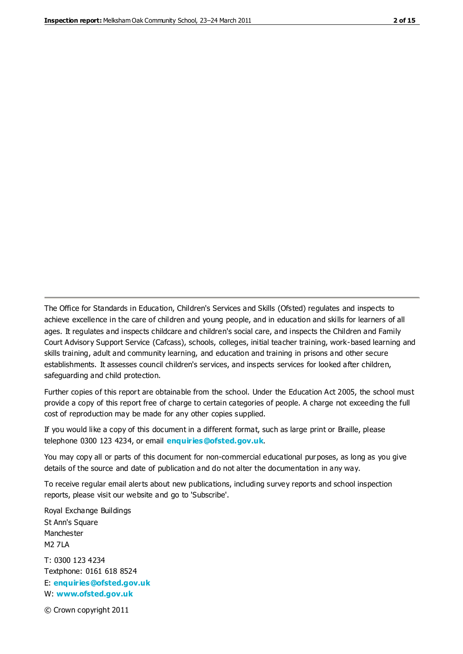The Office for Standards in Education, Children's Services and Skills (Ofsted) regulates and inspects to achieve excellence in the care of children and young people, and in education and skills for learners of all ages. It regulates and inspects childcare and children's social care, and inspects the Children and Family Court Advisory Support Service (Cafcass), schools, colleges, initial teacher training, work-based learning and skills training, adult and community learning, and education and training in prisons and other secure establishments. It assesses council children's services, and inspects services for looked after children, safeguarding and child protection.

Further copies of this report are obtainable from the school. Under the Education Act 2005, the school must provide a copy of this report free of charge to certain categories of people. A charge not exceeding the full cost of reproduction may be made for any other copies supplied.

If you would like a copy of this document in a different format, such as large print or Braille, please telephone 0300 123 4234, or email **[enquiries@ofsted.gov.uk](mailto:enquiries@ofsted.gov.uk)**.

You may copy all or parts of this document for non-commercial educational purposes, as long as you give details of the source and date of publication and do not alter the documentation in any way.

To receive regular email alerts about new publications, including survey reports and school inspection reports, please visit our website and go to 'Subscribe'.

Royal Exchange Buildings St Ann's Square Manchester M2 7LA T: 0300 123 4234 Textphone: 0161 618 8524 E: **[enquiries@ofsted.gov.uk](mailto:enquiries@ofsted.gov.uk)**

W: **[www.ofsted.gov.uk](http://www.ofsted.gov.uk/)**

© Crown copyright 2011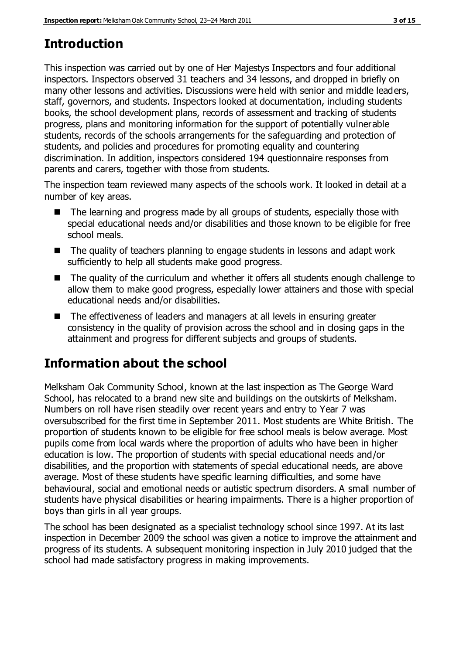# **Introduction**

This inspection was carried out by one of Her Majestys Inspectors and four additional inspectors. Inspectors observed 31 teachers and 34 lessons, and dropped in briefly on many other lessons and activities. Discussions were held with senior and middle leaders, staff, governors, and students. Inspectors looked at documentation, including students books, the school development plans, records of assessment and tracking of students progress, plans and monitoring information for the support of potentially vulnerable students, records of the schools arrangements for the safeguarding and protection of students, and policies and procedures for promoting equality and countering discrimination. In addition, inspectors considered 194 questionnaire responses from parents and carers, together with those from students.

The inspection team reviewed many aspects of the schools work. It looked in detail at a number of key areas.

- The learning and progress made by all groups of students, especially those with special educational needs and/or disabilities and those known to be eligible for free school meals.
- The quality of teachers planning to engage students in lessons and adapt work sufficiently to help all students make good progress.
- The quality of the curriculum and whether it offers all students enough challenge to allow them to make good progress, especially lower attainers and those with special educational needs and/or disabilities.
- The effectiveness of leaders and managers at all levels in ensuring greater consistency in the quality of provision across the school and in closing gaps in the attainment and progress for different subjects and groups of students.

# **Information about the school**

Melksham Oak Community School, known at the last inspection as The George Ward School, has relocated to a brand new site and buildings on the outskirts of Melksham. Numbers on roll have risen steadily over recent years and entry to Year 7 was oversubscribed for the first time in September 2011. Most students are White British. The proportion of students known to be eligible for free school meals is below average. Most pupils come from local wards where the proportion of adults who have been in higher education is low. The proportion of students with special educational needs and/or disabilities, and the proportion with statements of special educational needs, are above average. Most of these students have specific learning difficulties, and some have behavioural, social and emotional needs or autistic spectrum disorders. A small number of students have physical disabilities or hearing impairments. There is a higher proportion of boys than girls in all year groups.

The school has been designated as a specialist technology school since 1997. At its last inspection in December 2009 the school was given a notice to improve the attainment and progress of its students. A subsequent monitoring inspection in July 2010 judged that the school had made satisfactory progress in making improvements.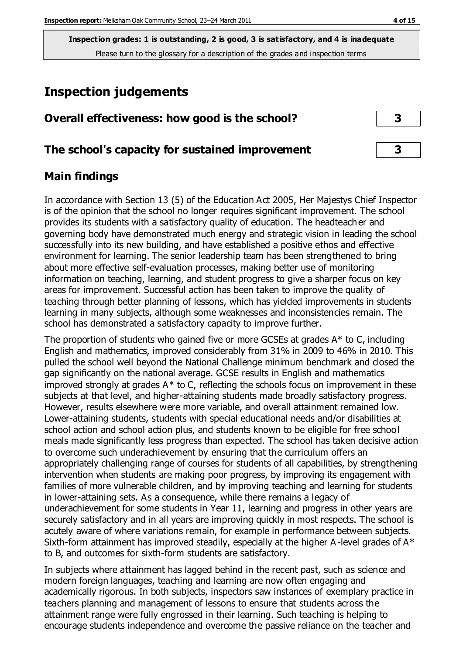## **Inspection judgements**

| Overall effectiveness: how good is the school?  |  |  |
|-------------------------------------------------|--|--|
| The school's capacity for sustained improvement |  |  |

## **Main findings**

In accordance with Section 13 (5) of the Education Act 2005, Her Majestys Chief Inspector is of the opinion that the school no longer requires significant improvement. The school provides its students with a satisfactory quality of education. The headteacher and governing body have demonstrated much energy and strategic vision in leading the school successfully into its new building, and have established a positive ethos and effective environment for learning. The senior leadership team has been strengthened to bring about more effective self-evaluation processes, making better use of monitoring information on teaching, learning, and student progress to give a sharper focus on key areas for improvement. Successful action has been taken to improve the quality of teaching through better planning of lessons, which has yielded improvements in students learning in many subjects, although some weaknesses and inconsistencies remain. The school has demonstrated a satisfactory capacity to improve further.

The proportion of students who gained five or more GCSEs at grades A\* to C, including English and mathematics, improved considerably from 31% in 2009 to 46% in 2010. This pulled the school well beyond the National Challenge minimum benchmark and closed the gap significantly on the national average. GCSE results in English and mathematics improved strongly at grades  $A^*$  to C, reflecting the schools focus on improvement in these subjects at that level, and higher-attaining students made broadly satisfactory progress. However, results elsewhere were more variable, and overall attainment remained low. Lower-attaining students, students with special educational needs and/or disabilities at school action and school action plus, and students known to be eligible for free school meals made significantly less progress than expected. The school has taken decisive action to overcome such underachievement by ensuring that the curriculum offers an appropriately challenging range of courses for students of all capabilities, by strengthening intervention when students are making poor progress, by improving its engagement with families of more vulnerable children, and by improving teaching and learning for students in lower-attaining sets. As a consequence, while there remains a legacy of underachievement for some students in Year 11, learning and progress in other years are securely satisfactory and in all years are improving quickly in most respects. The school is acutely aware of where variations remain, for example in performance between subjects. Sixth-form attainment has improved steadily, especially at the higher A-level grades of  $A^*$ to B, and outcomes for sixth-form students are satisfactory.

In subjects where attainment has lagged behind in the recent past, such as science and modern foreign languages, teaching and learning are now often engaging and academically rigorous. In both subjects, inspectors saw instances of exemplary practice in teachers planning and management of lessons to ensure that students across the attainment range were fully engrossed in their learning. Such teaching is helping to encourage students independence and overcome the passive reliance on the teacher and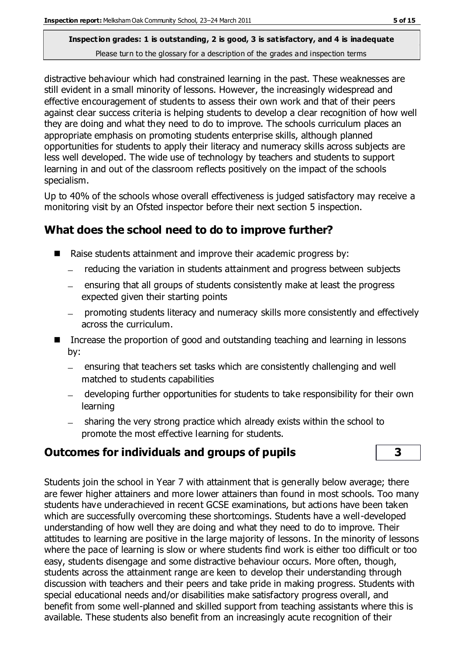distractive behaviour which had constrained learning in the past. These weaknesses are still evident in a small minority of lessons. However, the increasingly widespread and effective encouragement of students to assess their own work and that of their peers against clear success criteria is helping students to develop a clear recognition of how well they are doing and what they need to do to improve. The schools curriculum places an appropriate emphasis on promoting students enterprise skills, although planned opportunities for students to apply their literacy and numeracy skills across subjects are less well developed. The wide use of technology by teachers and students to support learning in and out of the classroom reflects positively on the impact of the schools specialism.

Up to 40% of the schools whose overall effectiveness is judged satisfactory may receive a monitoring visit by an Ofsted inspector before their next section 5 inspection.

## **What does the school need to do to improve further?**

- Raise students attainment and improve their academic progress by:
	- reducing the variation in students attainment and progress between subjects
	- ensuring that all groups of students consistently make at least the progress expected given their starting points
	- promoting students literacy and numeracy skills more consistently and effectively across the curriculum.
- Increase the proportion of good and outstanding teaching and learning in lessons by:
	- ensuring that teachers set tasks which are consistently challenging and well  $\frac{1}{2}$ matched to students capabilities
	- developing further opportunities for students to take responsibility for their own learning
	- sharing the very strong practice which already exists within the school to promote the most effective learning for students.

## **Outcomes for individuals and groups of pupils 3**

Students join the school in Year 7 with attainment that is generally below average; there are fewer higher attainers and more lower attainers than found in most schools. Too many students have underachieved in recent GCSE examinations, but actions have been taken which are successfully overcoming these shortcomings. Students have a well-developed understanding of how well they are doing and what they need to do to improve. Their attitudes to learning are positive in the large majority of lessons. In the minority of lessons where the pace of learning is slow or where students find work is either too difficult or too easy, students disengage and some distractive behaviour occurs. More often, though, students across the attainment range are keen to develop their understanding through discussion with teachers and their peers and take pride in making progress. Students with special educational needs and/or disabilities make satisfactory progress overall, and benefit from some well-planned and skilled support from teaching assistants where this is available. These students also benefit from an increasingly acute recognition of their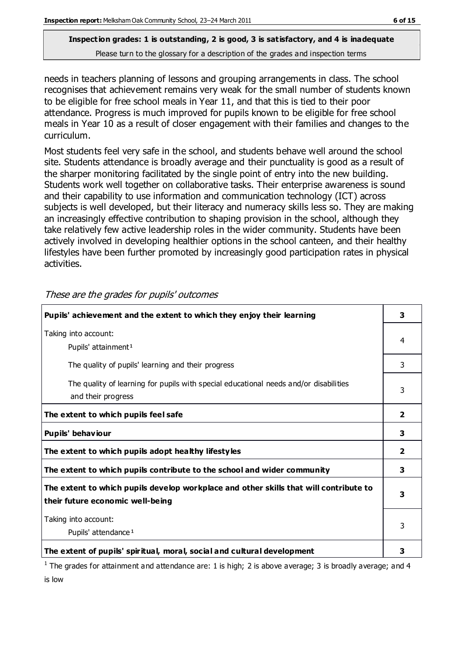needs in teachers planning of lessons and grouping arrangements in class. The school recognises that achievement remains very weak for the small number of students known to be eligible for free school meals in Year 11, and that this is tied to their poor attendance. Progress is much improved for pupils known to be eligible for free school meals in Year 10 as a result of closer engagement with their families and changes to the curriculum.

Most students feel very safe in the school, and students behave well around the school site. Students attendance is broadly average and their punctuality is good as a result of the sharper monitoring facilitated by the single point of entry into the new building. Students work well together on collaborative tasks. Their enterprise awareness is sound and their capability to use information and communication technology (ICT) across subjects is well developed, but their literacy and numeracy skills less so. They are making an increasingly effective contribution to shaping provision in the school, although they take relatively few active leadership roles in the wider community. Students have been actively involved in developing healthier options in the school canteen, and their healthy lifestyles have been further promoted by increasingly good participation rates in physical activities.

| Pupils' achievement and the extent to which they enjoy their learning                                                     | 3                       |
|---------------------------------------------------------------------------------------------------------------------------|-------------------------|
| Taking into account:<br>Pupils' attainment <sup>1</sup>                                                                   | 4                       |
| The quality of pupils' learning and their progress                                                                        | 3                       |
| The quality of learning for pupils with special educational needs and/or disabilities<br>and their progress               | 3                       |
| The extent to which pupils feel safe                                                                                      | $\overline{\mathbf{2}}$ |
| Pupils' behaviour                                                                                                         | 3                       |
| The extent to which pupils adopt healthy lifestyles                                                                       | 2                       |
| The extent to which pupils contribute to the school and wider community                                                   | 3                       |
| The extent to which pupils develop workplace and other skills that will contribute to<br>their future economic well-being | 3                       |
| Taking into account:<br>Pupils' attendance <sup>1</sup>                                                                   | 3                       |
| The extent of pupils' spiritual, moral, social and cultural development                                                   | з                       |

These are the grades for pupils' outcomes

<sup>1</sup> The grades for attainment and attendance are: 1 is high; 2 is above average; 3 is broadly average; and 4 is low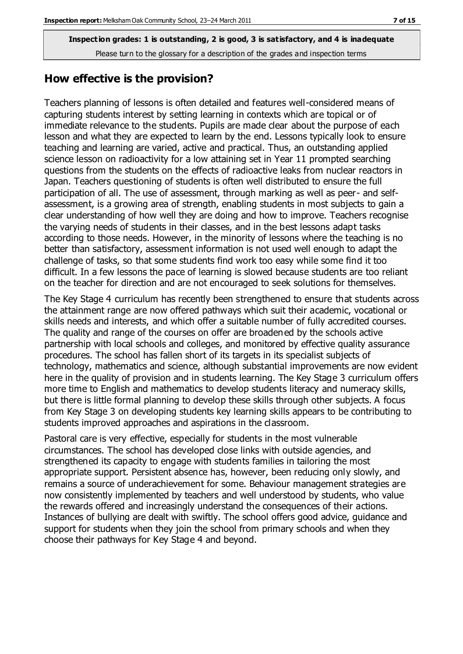#### **How effective is the provision?**

Teachers planning of lessons is often detailed and features well-considered means of capturing students interest by setting learning in contexts which are topical or of immediate relevance to the students. Pupils are made clear about the purpose of each lesson and what they are expected to learn by the end. Lessons typically look to ensure teaching and learning are varied, active and practical. Thus, an outstanding applied science lesson on radioactivity for a low attaining set in Year 11 prompted searching questions from the students on the effects of radioactive leaks from nuclear reactors in Japan. Teachers questioning of students is often well distributed to ensure the full participation of all. The use of assessment, through marking as well as peer- and selfassessment, is a growing area of strength, enabling students in most subjects to gain a clear understanding of how well they are doing and how to improve. Teachers recognise the varying needs of students in their classes, and in the best lessons adapt tasks according to those needs. However, in the minority of lessons where the teaching is no better than satisfactory, assessment information is not used well enough to adapt the challenge of tasks, so that some students find work too easy while some find it too difficult. In a few lessons the pace of learning is slowed because students are too reliant on the teacher for direction and are not encouraged to seek solutions for themselves.

The Key Stage 4 curriculum has recently been strengthened to ensure that students across the attainment range are now offered pathways which suit their academic, vocational or skills needs and interests, and which offer a suitable number of fully accredited courses. The quality and range of the courses on offer are broadened by the schools active partnership with local schools and colleges, and monitored by effective quality assurance procedures. The school has fallen short of its targets in its specialist subjects of technology, mathematics and science, although substantial improvements are now evident here in the quality of provision and in students learning. The Key Stage 3 curriculum offers more time to English and mathematics to develop students literacy and numeracy skills, but there is little formal planning to develop these skills through other subjects. A focus from Key Stage 3 on developing students key learning skills appears to be contributing to students improved approaches and aspirations in the classroom.

Pastoral care is very effective, especially for students in the most vulnerable circumstances. The school has developed close links with outside agencies, and strengthened its capacity to engage with students families in tailoring the most appropriate support. Persistent absence has, however, been reducing only slowly, and remains a source of underachievement for some. Behaviour management strategies are now consistently implemented by teachers and well understood by students, who value the rewards offered and increasingly understand the consequences of their actions. Instances of bullying are dealt with swiftly. The school offers good advice, guidance and support for students when they join the school from primary schools and when they choose their pathways for Key Stage 4 and beyond.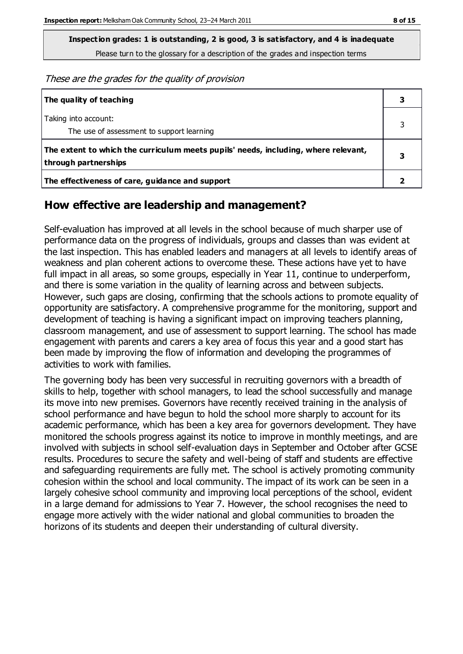**Inspection grades: 1 is outstanding, 2 is good, 3 is satisfactory, and 4 is inadequate**

Please turn to the glossary for a description of the grades and inspection terms

These are the grades for the quality of provision

| The quality of teaching                                                                                    |  |
|------------------------------------------------------------------------------------------------------------|--|
| Taking into account:<br>The use of assessment to support learning                                          |  |
| The extent to which the curriculum meets pupils' needs, including, where relevant,<br>through partnerships |  |
| The effectiveness of care, guidance and support                                                            |  |

#### **How effective are leadership and management?**

Self-evaluation has improved at all levels in the school because of much sharper use of performance data on the progress of individuals, groups and classes than was evident at the last inspection. This has enabled leaders and managers at all levels to identify areas of weakness and plan coherent actions to overcome these. These actions have yet to have full impact in all areas, so some groups, especially in Year 11, continue to underperform, and there is some variation in the quality of learning across and between subjects. However, such gaps are closing, confirming that the schools actions to promote equality of opportunity are satisfactory. A comprehensive programme for the monitoring, support and development of teaching is having a significant impact on improving teachers planning, classroom management, and use of assessment to support learning. The school has made engagement with parents and carers a key area of focus this year and a good start has been made by improving the flow of information and developing the programmes of activities to work with families.

The governing body has been very successful in recruiting governors with a breadth of skills to help, together with school managers, to lead the school successfully and manage its move into new premises. Governors have recently received training in the analysis of school performance and have begun to hold the school more sharply to account for its academic performance, which has been a key area for governors development. They have monitored the schools progress against its notice to improve in monthly meetings, and are involved with subjects in school self-evaluation days in September and October after GCSE results. Procedures to secure the safety and well-being of staff and students are effective and safeguarding requirements are fully met. The school is actively promoting community cohesion within the school and local community. The impact of its work can be seen in a largely cohesive school community and improving local perceptions of the school, evident in a large demand for admissions to Year 7. However, the school recognises the need to engage more actively with the wider national and global communities to broaden the horizons of its students and deepen their understanding of cultural diversity.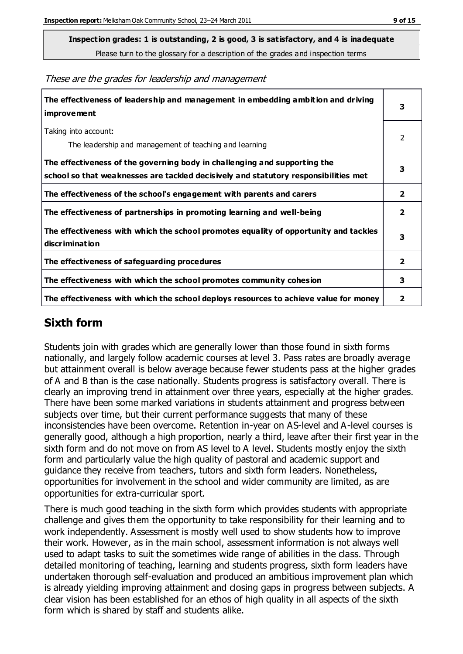**Inspection grades: 1 is outstanding, 2 is good, 3 is satisfactory, and 4 is inadequate**

Please turn to the glossary for a description of the grades and inspection terms

| The effectiveness of leadership and management in embedding ambition and driving<br><i>improvement</i>                                                           | 3                       |
|------------------------------------------------------------------------------------------------------------------------------------------------------------------|-------------------------|
| Taking into account:<br>The leadership and management of teaching and learning                                                                                   | 2                       |
| The effectiveness of the governing body in challenging and supporting the<br>school so that weaknesses are tackled decisively and statutory responsibilities met | 3                       |
| The effectiveness of the school's engagement with parents and carers                                                                                             | $\overline{2}$          |
| The effectiveness of partnerships in promoting learning and well-being                                                                                           | $\overline{2}$          |
| The effectiveness with which the school promotes equality of opportunity and tackles<br>discrimination                                                           | 3                       |
| The effectiveness of safeguarding procedures                                                                                                                     | $\overline{\mathbf{2}}$ |
| The effectiveness with which the school promotes community cohesion                                                                                              | 3                       |
| The effectiveness with which the school deploys resources to achieve value for money                                                                             | 2                       |

#### These are the grades for leadership and management

## **Sixth form**

Students join with grades which are generally lower than those found in sixth forms nationally, and largely follow academic courses at level 3. Pass rates are broadly average but attainment overall is below average because fewer students pass at the higher grades of A and B than is the case nationally. Students progress is satisfactory overall. There is clearly an improving trend in attainment over three years, especially at the higher grades. There have been some marked variations in students attainment and progress between subjects over time, but their current performance suggests that many of these inconsistencies have been overcome. Retention in-year on AS-level and A-level courses is generally good, although a high proportion, nearly a third, leave after their first year in the sixth form and do not move on from AS level to A level. Students mostly enjoy the sixth form and particularly value the high quality of pastoral and academic support and guidance they receive from teachers, tutors and sixth form leaders. Nonetheless, opportunities for involvement in the school and wider community are limited, as are opportunities for extra-curricular sport.

There is much good teaching in the sixth form which provides students with appropriate challenge and gives them the opportunity to take responsibility for their learning and to work independently. Assessment is mostly well used to show students how to improve their work. However, as in the main school, assessment information is not always well used to adapt tasks to suit the sometimes wide range of abilities in the class. Through detailed monitoring of teaching, learning and students progress, sixth form leaders have undertaken thorough self-evaluation and produced an ambitious improvement plan which is already yielding improving attainment and closing gaps in progress between subjects. A clear vision has been established for an ethos of high quality in all aspects of the sixth form which is shared by staff and students alike.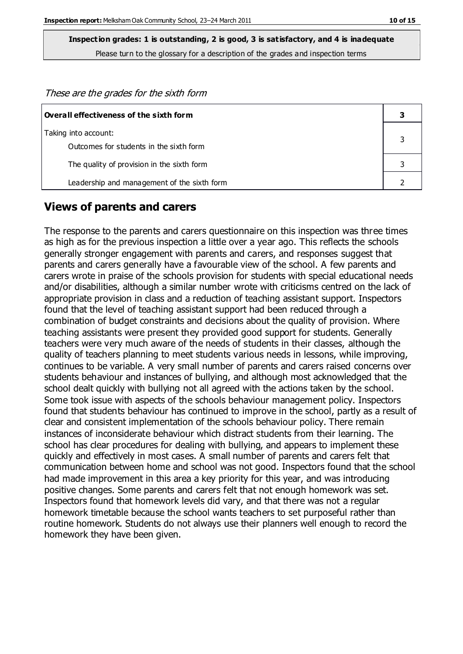These are the grades for the sixth form

| $\mid$ Overall effectiveness of the sixth form |  |
|------------------------------------------------|--|
| Taking into account:                           |  |
| Outcomes for students in the sixth form        |  |
| The quality of provision in the sixth form     |  |
| Leadership and management of the sixth form    |  |

#### **Views of parents and carers**

The response to the parents and carers questionnaire on this inspection was three times as high as for the previous inspection a little over a year ago. This reflects the schools generally stronger engagement with parents and carers, and responses suggest that parents and carers generally have a favourable view of the school. A few parents and carers wrote in praise of the schools provision for students with special educational needs and/or disabilities, although a similar number wrote with criticisms centred on the lack of appropriate provision in class and a reduction of teaching assistant support. Inspectors found that the level of teaching assistant support had been reduced through a combination of budget constraints and decisions about the quality of provision. Where teaching assistants were present they provided good support for students. Generally teachers were very much aware of the needs of students in their classes, although the quality of teachers planning to meet students various needs in lessons, while improving, continues to be variable. A very small number of parents and carers raised concerns over students behaviour and instances of bullying, and although most acknowledged that the school dealt quickly with bullying not all agreed with the actions taken by the school. Some took issue with aspects of the schools behaviour management policy. Inspectors found that students behaviour has continued to improve in the school, partly as a result of clear and consistent implementation of the schools behaviour policy. There remain instances of inconsiderate behaviour which distract students from their learning. The school has clear procedures for dealing with bullying, and appears to implement these quickly and effectively in most cases. A small number of parents and carers felt that communication between home and school was not good. Inspectors found that the school had made improvement in this area a key priority for this year, and was introducing positive changes. Some parents and carers felt that not enough homework was set. Inspectors found that homework levels did vary, and that there was not a regular homework timetable because the school wants teachers to set purposeful rather than routine homework. Students do not always use their planners well enough to record the homework they have been given.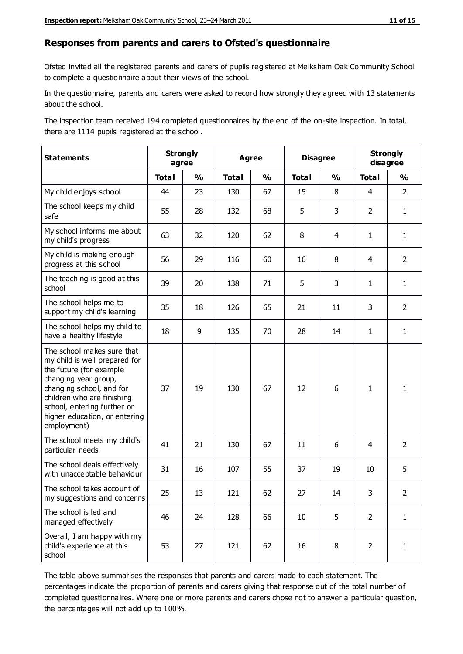#### **Responses from parents and carers to Ofsted's questionnaire**

Ofsted invited all the registered parents and carers of pupils registered at Melksham Oak Community School to complete a questionnaire about their views of the school.

In the questionnaire, parents and carers were asked to record how strongly they agreed with 13 statements about the school.

The inspection team received 194 completed questionnaires by the end of the on-site inspection. In total, there are 1114 pupils registered at the school.

| <b>Statements</b>                                                                                                                                                                                                                                       | <b>Strongly</b><br>agree |               | <b>Agree</b> |               | <b>Disagree</b> |                | <b>Strongly</b><br>disagree |                |
|---------------------------------------------------------------------------------------------------------------------------------------------------------------------------------------------------------------------------------------------------------|--------------------------|---------------|--------------|---------------|-----------------|----------------|-----------------------------|----------------|
|                                                                                                                                                                                                                                                         | <b>Total</b>             | $\frac{1}{2}$ | <b>Total</b> | $\frac{0}{0}$ | <b>Total</b>    | $\frac{1}{2}$  | <b>Total</b>                | $\frac{9}{0}$  |
| My child enjoys school                                                                                                                                                                                                                                  | 44                       | 23            | 130          | 67            | 15              | 8              | $\overline{4}$              | $\overline{2}$ |
| The school keeps my child<br>safe                                                                                                                                                                                                                       | 55                       | 28            | 132          | 68            | 5               | 3              | $\overline{2}$              | $\mathbf{1}$   |
| My school informs me about<br>my child's progress                                                                                                                                                                                                       | 63                       | 32            | 120          | 62            | 8               | $\overline{4}$ | $\mathbf{1}$                | $\mathbf{1}$   |
| My child is making enough<br>progress at this school                                                                                                                                                                                                    | 56                       | 29            | 116          | 60            | 16              | 8              | 4                           | $\overline{2}$ |
| The teaching is good at this<br>school                                                                                                                                                                                                                  | 39                       | 20            | 138          | 71            | 5               | 3              | $\mathbf{1}$                | $\mathbf{1}$   |
| The school helps me to<br>support my child's learning                                                                                                                                                                                                   | 35                       | 18            | 126          | 65            | 21              | 11             | 3                           | $\overline{2}$ |
| The school helps my child to<br>have a healthy lifestyle                                                                                                                                                                                                | 18                       | 9             | 135          | 70            | 28              | 14             | $\mathbf{1}$                | $\mathbf{1}$   |
| The school makes sure that<br>my child is well prepared for<br>the future (for example<br>changing year group,<br>changing school, and for<br>children who are finishing<br>school, entering further or<br>higher education, or entering<br>employment) | 37                       | 19            | 130          | 67            | 12              | 6              | $\mathbf{1}$                | $\mathbf{1}$   |
| The school meets my child's<br>particular needs                                                                                                                                                                                                         | 41                       | 21            | 130          | 67            | 11              | 6              | 4                           | $\overline{2}$ |
| The school deals effectively<br>with unacceptable behaviour                                                                                                                                                                                             | 31                       | 16            | 107          | 55            | 37              | 19             | 10                          | 5              |
| The school takes account of<br>my suggestions and concerns                                                                                                                                                                                              | 25                       | 13            | 121          | 62            | 27              | 14             | 3                           | $\mathcal{P}$  |
| The school is led and<br>managed effectively                                                                                                                                                                                                            | 46                       | 24            | 128          | 66            | 10              | 5              | $\overline{2}$              | $\mathbf{1}$   |
| Overall, I am happy with my<br>child's experience at this<br>school                                                                                                                                                                                     | 53                       | 27            | 121          | 62            | 16              | 8              | $\overline{2}$              | $\mathbf 1$    |

The table above summarises the responses that parents and carers made to each statement. The percentages indicate the proportion of parents and carers giving that response out of the total number of completed questionnaires. Where one or more parents and carers chose not to answer a particular question, the percentages will not add up to 100%.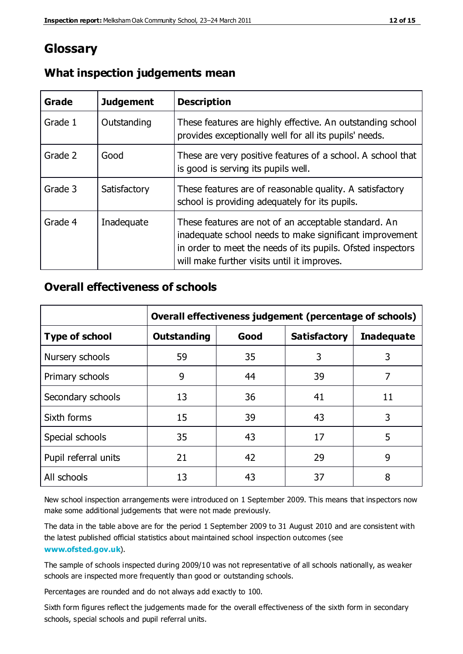## **Glossary**

| Grade   | <b>Judgement</b> | <b>Description</b>                                                                                                                                                                                                            |
|---------|------------------|-------------------------------------------------------------------------------------------------------------------------------------------------------------------------------------------------------------------------------|
| Grade 1 | Outstanding      | These features are highly effective. An outstanding school<br>provides exceptionally well for all its pupils' needs.                                                                                                          |
| Grade 2 | Good             | These are very positive features of a school. A school that<br>is good is serving its pupils well.                                                                                                                            |
| Grade 3 | Satisfactory     | These features are of reasonable quality. A satisfactory<br>school is providing adequately for its pupils.                                                                                                                    |
| Grade 4 | Inadequate       | These features are not of an acceptable standard. An<br>inadequate school needs to make significant improvement<br>in order to meet the needs of its pupils. Ofsted inspectors<br>will make further visits until it improves. |

#### **What inspection judgements mean**

## **Overall effectiveness of schools**

|                       | Overall effectiveness judgement (percentage of schools) |      |                     |                   |
|-----------------------|---------------------------------------------------------|------|---------------------|-------------------|
| <b>Type of school</b> | <b>Outstanding</b>                                      | Good | <b>Satisfactory</b> | <b>Inadequate</b> |
| Nursery schools       | 59                                                      | 35   | 3                   | 3                 |
| Primary schools       | 9                                                       | 44   | 39                  | 7                 |
| Secondary schools     | 13                                                      | 36   | 41                  | 11                |
| Sixth forms           | 15                                                      | 39   | 43                  | 3                 |
| Special schools       | 35                                                      | 43   | 17                  | 5                 |
| Pupil referral units  | 21                                                      | 42   | 29                  | 9                 |
| All schools           | 13                                                      | 43   | 37                  | 8                 |

New school inspection arrangements were introduced on 1 September 2009. This means that inspectors now make some additional judgements that were not made previously.

The data in the table above are for the period 1 September 2009 to 31 August 2010 and are consistent with the latest published official statistics about maintained school inspection outcomes (see **[www.ofsted.gov.uk](http://www.ofsted.gov.uk/)**).

The sample of schools inspected during 2009/10 was not representative of all schools nationally, as weaker schools are inspected more frequently than good or outstanding schools.

Percentages are rounded and do not always add exactly to 100.

Sixth form figures reflect the judgements made for the overall effectiveness of the sixth form in secondary schools, special schools and pupil referral units.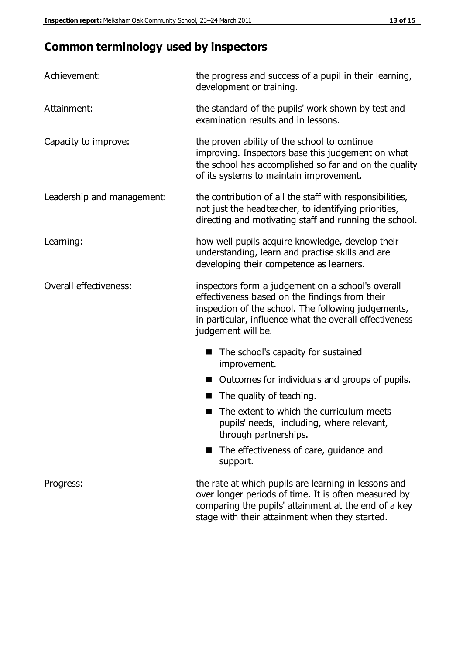# **Common terminology used by inspectors**

| Achievement:               | the progress and success of a pupil in their learning,<br>development or training.                                                                                                                                                           |
|----------------------------|----------------------------------------------------------------------------------------------------------------------------------------------------------------------------------------------------------------------------------------------|
| Attainment:                | the standard of the pupils' work shown by test and<br>examination results and in lessons.                                                                                                                                                    |
| Capacity to improve:       | the proven ability of the school to continue<br>improving. Inspectors base this judgement on what<br>the school has accomplished so far and on the quality<br>of its systems to maintain improvement.                                        |
| Leadership and management: | the contribution of all the staff with responsibilities,<br>not just the headteacher, to identifying priorities,<br>directing and motivating staff and running the school.                                                                   |
| Learning:                  | how well pupils acquire knowledge, develop their<br>understanding, learn and practise skills and are<br>developing their competence as learners.                                                                                             |
| Overall effectiveness:     | inspectors form a judgement on a school's overall<br>effectiveness based on the findings from their<br>inspection of the school. The following judgements,<br>in particular, influence what the over all effectiveness<br>judgement will be. |
|                            | The school's capacity for sustained<br>improvement.                                                                                                                                                                                          |
|                            | Outcomes for individuals and groups of pupils.                                                                                                                                                                                               |
|                            | The quality of teaching.                                                                                                                                                                                                                     |
|                            | The extent to which the curriculum meets<br>pupils' needs, including, where relevant,<br>through partnerships.                                                                                                                               |
|                            | The effectiveness of care, guidance and<br>support.                                                                                                                                                                                          |
| Progress:                  | the rate at which pupils are learning in lessons and<br>over longer periods of time. It is often measured by<br>comparing the pupils' attainment at the end of a key                                                                         |

stage with their attainment when they started.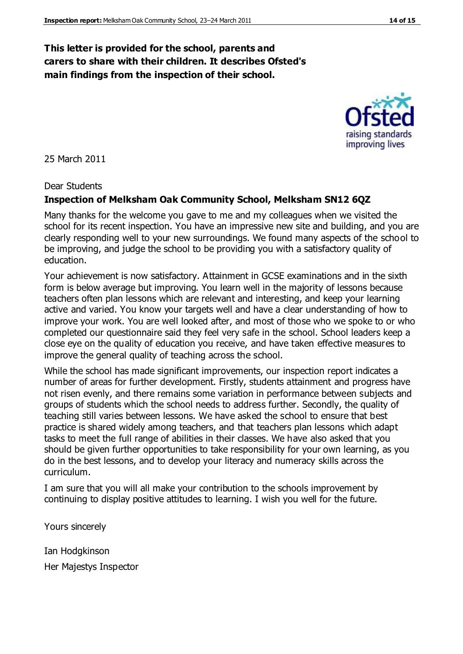#### **This letter is provided for the school, parents and carers to share with their children. It describes Ofsted's main findings from the inspection of their school.**

25 March 2011

#### Dear Students

#### **Inspection of Melksham Oak Community School, Melksham SN12 6QZ**

Many thanks for the welcome you gave to me and my colleagues when we visited the school for its recent inspection. You have an impressive new site and building, and you are clearly responding well to your new surroundings. We found many aspects of the school to be improving, and judge the school to be providing you with a satisfactory quality of education.

Your achievement is now satisfactory. Attainment in GCSE examinations and in the sixth form is below average but improving. You learn well in the majority of lessons because teachers often plan lessons which are relevant and interesting, and keep your learning active and varied. You know your targets well and have a clear understanding of how to improve your work. You are well looked after, and most of those who we spoke to or who completed our questionnaire said they feel very safe in the school. School leaders keep a close eye on the quality of education you receive, and have taken effective measures to improve the general quality of teaching across the school.

While the school has made significant improvements, our inspection report indicates a number of areas for further development. Firstly, students attainment and progress have not risen evenly, and there remains some variation in performance between subjects and groups of students which the school needs to address further. Secondly, the quality of teaching still varies between lessons. We have asked the school to ensure that best practice is shared widely among teachers, and that teachers plan lessons which adapt tasks to meet the full range of abilities in their classes. We have also asked that you should be given further opportunities to take responsibility for your own learning, as you do in the best lessons, and to develop your literacy and numeracy skills across the curriculum.

I am sure that you will all make your contribution to the schools improvement by continuing to display positive attitudes to learning. I wish you well for the future.

Yours sincerely

Ian Hodgkinson Her Majestys Inspector